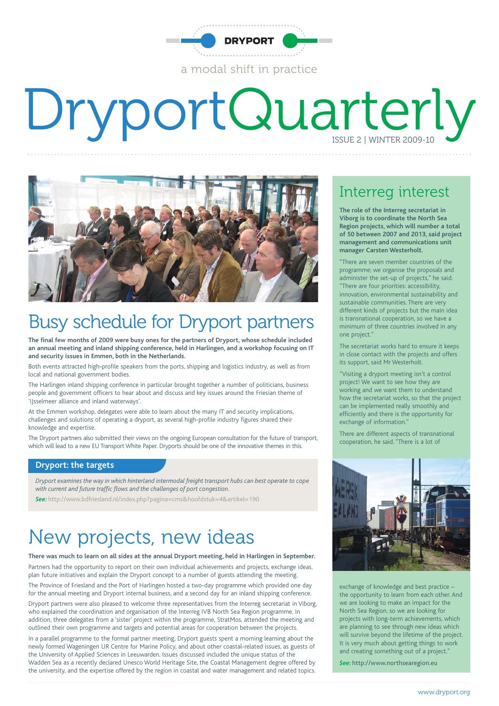

# DryportQuarterly



### Busy schedule for Dryport partners

**The final few months of 2009 were busy ones for the partners of Dryport, whose schedule included an annual meeting and inland shipping conference, held in Harlingen, and a workshop focusing on IT and security issues in Emmen, both in the Netherlands.**

Both events attracted high-profile speakers from the ports, shipping and logistics industry, as well as from local and national government bodies.

The Harlingen inland shipping conference in particular brought together a number of politicians, business people and government officers to hear about and discuss and key issues around the Friesian theme of 'IJsselmeer alliance and inland waterways'.

At the Emmen workshop, delegates were able to learn about the many IT and security implications, challenges and solutions of operating a dryport, as several high-profile industry figures shared their knowledge and expertise.

The Dryport partners also submitted their views on the ongoing European consultation for the future of transport, which will lead to a new EU Transport White Paper. Dryports should be one of the innovative themes in this.

#### **Dryport: the targets**

*Dryport examines the way in which hinterland intermodal freight transport hubs can best operate to cope with current and future traffic flows and the challenges of port congestion.*

*See:* http://www.bdfriesland.nl/index.php?pagina=cms&hoofdstuk=4&artikel=190

### New projects, new ideas

**There was much to learn on all sides at the annual Dryport meeting, held in Harlingen in September.** Partners had the opportunity to report on their own individual achievements and projects, exchange ideas, plan future initiatives and explain the Dryport concept to a number of guests attending the meeting. The Province of Friesland and the Port of Harlingen hosted a two-day programme which provided one day for the annual meeting and Dryport internal business, and a second day for an inland shipping conference.

Dryport partners were also pleased to welcome three representatives from the Interreg secretariat in Viborg, who explained the coordination and organisation of the Interreg IVB North Sea Region programme. In addition, three delegates from a 'sister' project within the programme, StratMos, attended the meeting and outlined their own programme and targets and potential areas for cooperation between the projects.

In a parallel programme to the formal partner meeting, Dryport guests spent a morning learning about the newly formed Wageningen UR Centre for Marine Policy, and about other coastal-related issues, as guests of the University of Applied Sciences in Leeuwarden. Issues discussed included the unique status of the Wadden Sea as a recently declared Unesco World Heritage Site, the Coastal Management degree offered by the university, and the expertise offered by the region in coastal and water management and related topics.

### Interreg interest

**The role of the Interreg secretariat in Viborg is to coordinate the North Sea Region projects, which will number a total of 50 between 2007 and 2013, said project management and communications unit manager Carsten Westerholt.**

"There are seven member countries of the programme; we organise the proposals and administer the set-up of projects," he said. "There are four priorities: accessibility, innovation, environmental sustainability and sustainable communities. There are very different kinds of projects but the main idea is transnational cooperation, so we have a minimum of three countries involved in any one project."

The secretariat works hard to ensure it keeps in close contact with the projects and offers its support, said Mr Westerholt.

"Visiting a dryport meeting isn't a control project! We want to see how they are working and we want them to understand how the secretariat works, so that the project can be implemented really smoothly and efficiently and there is the opportunity for exchange of information."

There are different aspects of transnational cooperation, he said. "There is a lot of



exchange of knowledge and best practice – the opportunity to learn from each other. And we are looking to make an impact for the North Sea Region, so we are looking for projects with long-term achievements, which are planning to see through new ideas which will survive beyond the lifetime of the project. It is very much about getting things to work and creating something out of a project."

*See:* http://www.northsearegion.eu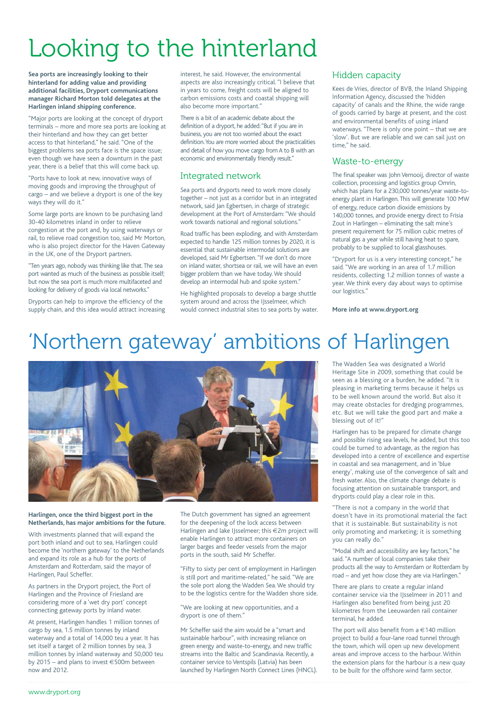## Looking to the hinterland

**Sea ports are increasingly looking to their hinterland for adding value and providing additional facilities, Dryport communications manager Richard Morton told delegates at the Harlingen inland shipping conference.**

"Major ports are looking at the concept of dryport terminals – more and more sea ports are looking at their hinterland and how they can get better access to that hinterland," he said. "One of the biggest problems sea ports face is the space issue; even though we have seen a downturn in the past year, there is a belief that this will come back up.

"Ports have to look at new, innovative ways of moving goods and improving the throughput of cargo – and we believe a dryport is one of the key ways they will do it."

Some large ports are known to be purchasing land 30-40 kilometres inland in order to relieve congestion at the port and, by using waterways or rail, to relieve road congestion too, said Mr Morton, who is also project director for the Haven Gateway in the UK, one of the Dryport partners.

"Ten years ago, nobody was thinking like that.The sea port wanted as much of the business as possible itself; but now the sea port is much more multifaceted and looking for delivery of goods via local networks."

Dryports can help to improve the efficiency of the supply chain, and this idea would attract increasing interest, he said. However, the environmental aspects are also increasingly critical. "I believe that in years to come, freight costs will be aligned to carbon emissions costs and coastal shipping will also become more important."

There is a bit of an academic debate about the definition of a dryport, he added:"But if you are in business, you are not too worried about the exact definition.You are more worried about the practicalities and detail of how you move cargo from A to B with an economic and environmentally friendly result."

#### Integrated network

Sea ports and dryports need to work more closely together – not just as a corridor but in an integrated network, said Jan Egbertsen, in charge of strategic development at the Port of Amsterdam: "We should work towards national and regional solutions."

Road traffic has been exploding, and with Amsterdam expected to handle 125 million tonnes by 2020, it is essential that sustainable intermodal solutions are developed, said Mr Egbertsen. "If we don't do more on inland water, shortsea or rail, we will have an even bigger problem than we have today.We should develop an intermodal hub and spoke system."

He highlighted proposals to develop a barge shuttle system around and across the IIsselmeer, which would connect industrial sites to sea ports by water.

#### Hidden capacity

Kees de Vries, director of BVB, the Inland Shipping Information Agency, discussed the 'hidden capacity' of canals and the Rhine, the wide range of goods carried by barge at present, and the cost and environmental benefits of using inland waterways. "There is only one point – that we are 'slow'. But we are reliable and we can sail just on time," he said.

#### Waste-to-energy

The final speaker was John Vernooij, director of waste collection, processing and logistics group Omrin, which has plans for a 230,000 tonnes/year waste-toenergy plant in Harlingen. This will generate 100 MW of energy, reduce carbon dioxide emissions by 140,000 tonnes, and provide energy direct to Frisia Zout in Harlingen – eliminating the salt mine's present requirement for 75 million cubic metres of natural gas a year while still having heat to spare, probably to be supplied to local glasshouses.

"Dryport for us is a very interesting concept," he said. "We are working in an area of 1.7 million residents, collecting 1.2 million tonnes of waste a year. We think every day about ways to optimise our logistics."

**More info at www.dryport.org**

### 'Northern gateway' ambitions of Harlingen



**Harlingen, once the third biggest port in the Netherlands, has major ambitions for the future.**

With investments planned that will expand the port both inland and out to sea, Harlingen could become the 'northern gateway' to the Netherlands and expand its role as a hub for the ports of Amsterdam and Rotterdam, said the mayor of Harlingen, Paul Scheffer.

As partners in the Dryport project, the Port of Harlingen and the Province of Friesland are considering more of a 'wet dry port' concept connecting gateway ports by inland water.

At present, Harlingen handles 1 million tonnes of cargo by sea, 1.5 million tonnes by inland waterway and a total of 14,000 teu a year. It has set itself a target of 2 million tonnes by sea, 3 million tonnes by inland waterway and 50,000 teu by 2015 – and plans to invest €500m between now and 2012.

The Dutch government has signed an agreement for the deepening of the lock access between Harlingen and lake IJsselmeer; this €2m project will enable Harlingen to attract more containers on larger barges and feeder vessels from the major ports in the south, said Mr Scheffer.

"Fifty to sixty per cent of employment in Harlingen is still port and maritime-related," he said. "We are the sole port along the Wadden Sea. We should try to be the logistics centre for the Wadden shore side.

"We are looking at new opportunities, and a dryport is one of them."

Mr Scheffer said the aim would be a "smart and sustainable harbour", with increasing reliance on green energy and waste-to-energy, and new traffic streams into the Baltic and Scandinavia. Recently, a container service to Ventspils (Latvia) has been launched by Harlingen North Connect Lines (HNCL). The Wadden Sea was designated a World Heritage Site in 2009, something that could be seen as a blessing or a burden, he added. "It is pleasing in marketing terms because it helps us to be well known around the world. But also it may create obstacles for dredging programmes, etc. But we will take the good part and make a blessing out of it!"

Harlingen has to be prepared for climate change and possible rising sea levels, he added, but this too could be turned to advantage, as the region has developed into a centre of excellence and expertise in coastal and sea management, and in 'blue energy', making use of the convergence of salt and fresh water. Also, the climate change debate is focusing attention on sustainable transport, and dryports could play a clear role in this.

"There is not a company in the world that doesn't have in its promotional material the fact that it is sustainable. But sustainability is not only promoting and marketing; it is something you can really do."

"Modal shift and accessibility are key factors," he said. "A number of local companies take their products all the way to Amsterdam or Rotterdam by road – and yet how close they are via Harlingen."

There are plans to create a regular inland container service via the IJsselmeer in 2011 and Harlingen also benefited from being just 20 kilometres from the Leeuwarden rail container terminal, he added.

The port will also benefit from a  $\in$  140 million project to build a four-lane road tunnel through the town, which will open up new development areas and improve access to the harbour. Within the extension plans for the harbour is a new quay to be built for the offshore wind farm sector.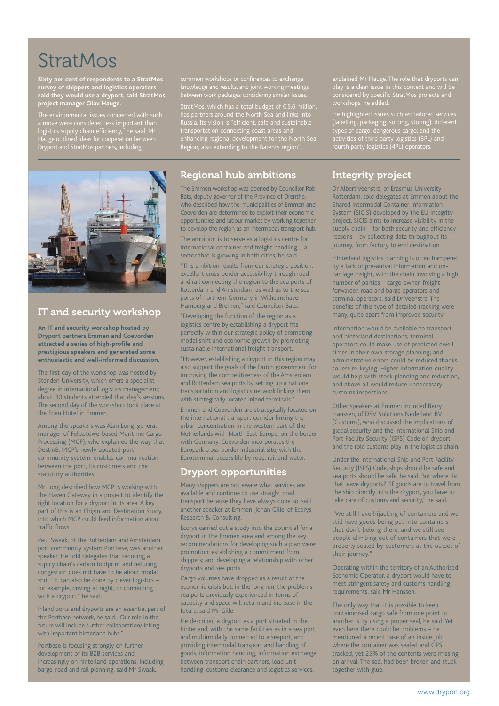### **StratMos**

**Sixty per cent of respondents to a StratMos survey of shippers and logistics operators said they would use a dryport, said StratMos project manager Olav Hauge.**

logistics supply chain efficiency," he said. Mr Hauge outlined ideas for cooperation between Hauge outlined ideas for cooperation bet<br>Dryport and StratMos partners, including

common workshops or conferences to exchange knowledge and results, and joint working meetings between work packages considering similar issues. StratMos, which has a total budget of €5.6 million, has partners around the North Sea and links into Russia. Its vision is "efficient, safe and sustainable transportation connecting coast areas and enhancing regional development for the North Sea Region, also extending to the Barents region",

### IT and security workshop

**An IT and security workshop hosted by Dryport partners Emmen and Coevorden attracted a series of high-profile and prestigious speakers and generated some enthusiastic and well-informed discussion.**

The first day of the workshop was hosted by Stenden University, which offers a specialist degree in international logistics management; about 30 students attended that day's sessions. The second day of the workshop took place at the Eden Hotel in Emmen.

Among the speakers was Alan Long, general manager of Felixstowe-based Maritime Cargo Processing (MCP), who explained the way that Destin8, MCP's newly updated port community system, enables communication between the port, its customers and the statutory authorities.

Mr Long described how MCP is working with the Haven Gateway in a project to identify the right location for a dryport in its area. A key part of this is an Origin and Destination Study, into which MCP could feed information about traffic flows.

Paul Swaak, of the Rotterdam and Amsterdam port community system Portbase, was another speaker. He told delegates that reducing a supply chain's carbon footprint and reducing congestion does not have to be about modal shift. "It can also be done by clever logistics – for example, driving at night, or connecting with a dryport," he said.

Inland ports and dryports are an essential part of the Portbase network, he said. "Our role in the future will include further collaboration/linking with important hinterland hubs."

Portbase is focusing strongly on further development of its B2B services and increasingly on hinterland operations, including barge, road and rail planning, said Mr Swaak.

#### Regional hub ambitions

The Emmen workshop was opened by Councillor Rob Bats, deputy governor of the Province of Drenthe, who described how the municipalities of Emmen and Coevorden are determined to exploit their economic opportunities and labour market by working together to develop the region as an intermodal transport hub.

The ambition is to serve as a logistics centre for international container and freight handling  $-$  a sector that is growing in both cities, he said.

"This ambition results from our strategic position; excellent cross-border accessibility through road and rail connecting the region to the sea ports of Rotterdam and Amsterdam, as well as to the sea ports of northern Germany in Wilhelmshaven, Hamburg and Bremen," said Councillor Bats.

"Developing the function of the region as a logistics centre by establishing a dryport fits perfectly within our strategic policy of promoting modal shift and economic growth by promoting sustainable international freight transport.

"However, establishing a dryport in this region may also support the goals of the Dutch government for improving the competitiveness of the Amsterdam and Rotterdam sea ports by setting up a national transportation and logistics network linking them with strategically located inland terminals.

Emmen and Coevorden are strategically located on the international transport corridor linking the urban concentration in the western part of the Netherlands with North East Europe, on the border with Germany. Coevorden incorporates the Europark cross-border industrial site, with the Euroterminal accessible by road, rail and water.

#### Dryport opportunities

Many shippers are not aware what services are available and continue to use straight road transport because they have always done so, said another speaker at Emmen, Johan Gille, of Ecorys Research & Consulting.

Ecorys carried out a study into the potential for a dryport in the Emmen area and among the key recommendations for developing such a plan were: promotion; establishing a commitment from shippers; and developing a relationship with other dryports and sea ports.

Cargo volumes have dropped as a result of the economic crisis but, in the long run, the problems sea ports previously experienced in terms of capacity and space will return and increase in the future, said Mr Gille.

He described a dryport as a port situated in the hinterland, with the same facilities as in a sea port, and multimodally connected to a seaport, and providing intermodal transport and handling of goods, information handling, information exchange between transport chain partners, load unit handling, customs clearance and logistics services.

explained Mr Hauge. The role that dryports can play is a clear issue in this context and will be workshops, he added.

He highlighted issues such as: tailored services (labelling, packaging, sorting, storing); different types of cargo; dangerous cargo; and the activities of third party logistics (3PL) and fourth party logistics (4PL) operators.

### Integrity project

Dr Albert Veenstra, of Erasmus University Rotterdam, told delegates at Emmen about the Shared Intermodal Container Information System (SICIS) developed by the EU Integrity project. SICIS aims to increase visibility in the supply chain – for both security and efficiency reasons – by collecting data throughout its journey, from factory to end destination.

Hinterland logistics planning is often hampered by a lack of pre-arrival information and oncarriage insight, with the chain involving a high number of parties – cargo owner, freight forwarder, road and barge operators and terminal operators, said Dr Veenstra. The benefits of this type of detailed tracking were many, quite apart from improved security.

Information would be available to transport and hinterland destinations; terminal operators could make use of predicted dwell times in their own storage planning; and administrative errors could be reduced thanks to less re-keying. Higher information quality would help with stock planning and reduction, and above all would reduce unnecessary customs inspections.

Other speakers at Emmen included Berry Hanssen, of DSV Solutions Nederland BV (Customs), who discussed the implications of global security and the International Ship and Port Facility Security (ISPS) Code on dryport and the role customs play in the logistics chain.

Under the International Ship and Port Facility Security (ISPS) Code, ships should be safe and sea ports should be safe, he said. But where did that leave dryports? "If goods are to travel from the ship directly into the dryport, you have to take care of customs and security," he said.

"We still have hijacking of containers and we still have goods being put into containers that don't belong there; and we still see people climbing out of containers that were properly sealed by customers at the outset of their journey."

Operating within the territory of an Authorised Economic Operator, a dryport would have to meet stringent safety and customs handling requirements, said Mr Hanssen.

The only way that it is possible to keep containerised cargo safe from one point to another is by using a proper seal, he said. Yet even here there could be problems – he mentioned a recent case of an inside job where the container was sealed and GPS tracked, yet 25% of the contents were missing on arrival. The seal had been broken and stuck together with glue.